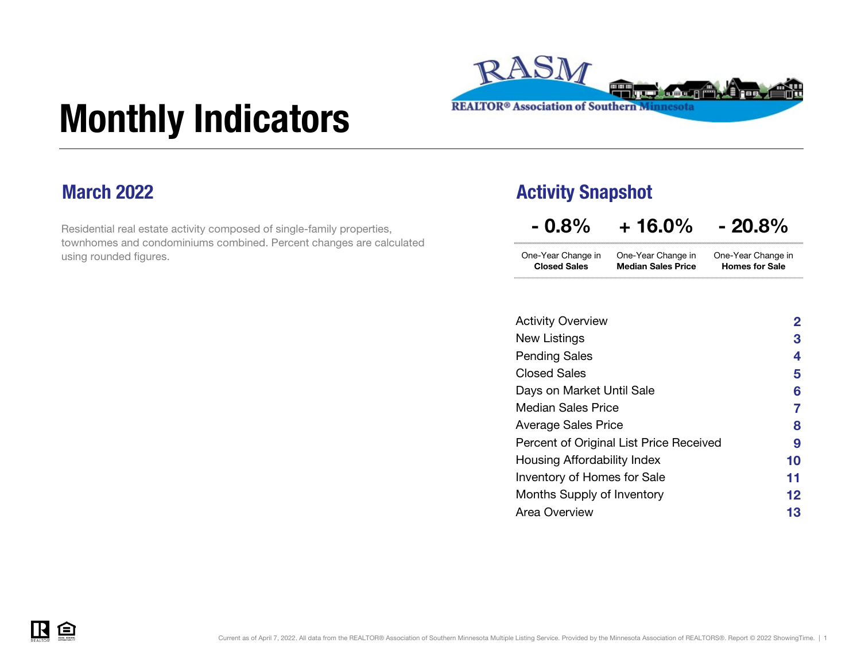

# Monthly Indicators

### March 2022

Residential real estate activity composed of single-family properties, townhomes and condominiums combined. Percent changes are calculated using rounded figures.

#### Activity Snapshot

 $-0.8\% + 16.0\% - 20.8\%$ 

| One-Year Change in  | One-Year Change in        | One-Year Change in    |
|---------------------|---------------------------|-----------------------|
| <b>Closed Sales</b> | <b>Median Sales Price</b> | <b>Homes for Sale</b> |

| <b>Activity Overview</b>                | $\mathbf{2}$ |
|-----------------------------------------|--------------|
| New Listings                            | 3            |
| <b>Pending Sales</b>                    | 4            |
| <b>Closed Sales</b>                     | 5            |
| Days on Market Until Sale               | 6            |
| <b>Median Sales Price</b>               | 7            |
| Average Sales Price                     | 8            |
| Percent of Original List Price Received | 9            |
| Housing Affordability Index             | 10           |
| <b>Inventory of Homes for Sale</b>      | 11           |
| <b>Months Supply of Inventory</b>       | 12           |
| Area Overview                           | 13           |

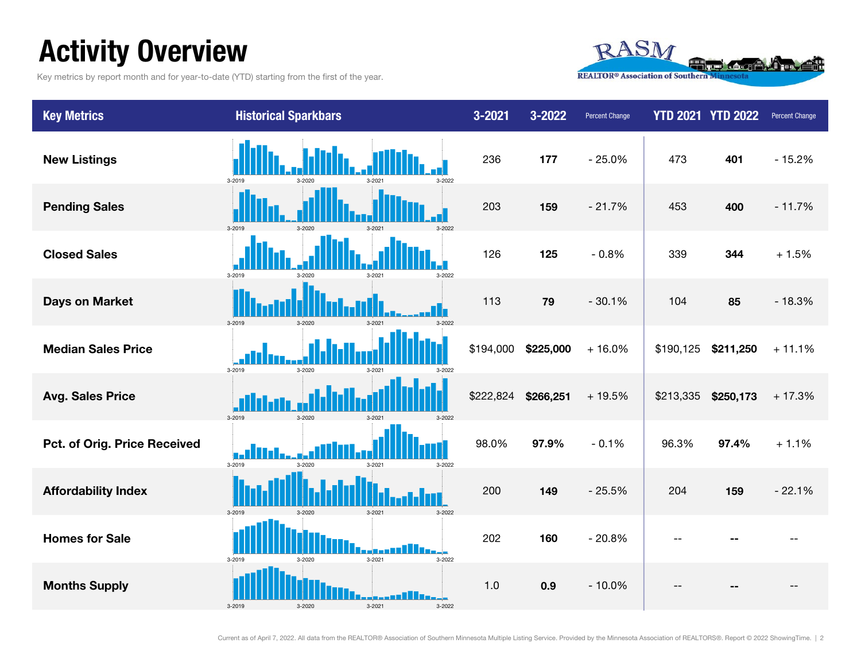### Activity Overview

Key metrics by report month and for year-to-date (YTD) starting from the first of the year.



| <b>Key Metrics</b>           | <b>Historical Sparkbars</b>              | 3-2021    | 3-2022    | <b>Percent Change</b> |           | <b>YTD 2021 YTD 2022</b> | Percent Change |
|------------------------------|------------------------------------------|-----------|-----------|-----------------------|-----------|--------------------------|----------------|
| <b>New Listings</b>          | 3-2022<br>3-2019<br>3-2020               | 236       | 177       | $-25.0%$              | 473       | 401                      | $-15.2%$       |
| <b>Pending Sales</b>         | 3-2019<br>$3 - 2020$<br>3-2021           | 203       | 159       | $-21.7%$              | 453       | 400                      | $-11.7%$       |
| <b>Closed Sales</b>          | 3-2019<br>3-2021<br>3-2022<br>$3-2020$   | 126       | 125       | $-0.8%$               | 339       | 344                      | $+1.5%$        |
| <b>Days on Market</b>        | $3 - 2019$                               | 113       | 79        | $-30.1%$              | 104       | 85                       | $-18.3%$       |
| <b>Median Sales Price</b>    | 3-2019<br>3-2020<br>3-2022               | \$194,000 | \$225,000 | $+16.0%$              | \$190,125 | \$211,250                | $+11.1%$       |
| <b>Avg. Sales Price</b>      | 3-2019<br>$3 - 2020$                     | \$222,824 | \$266,251 | +19.5%                | \$213,335 | \$250,173                | $+17.3%$       |
| Pct. of Orig. Price Received | 3-2019<br>3-2022<br>3-2020<br>3-2021     | 98.0%     | 97.9%     | $-0.1%$               | 96.3%     | 97.4%                    | $+1.1%$        |
| <b>Affordability Index</b>   |                                          | 200       | 149       | $-25.5%$              | 204       | 159                      | $-22.1%$       |
| <b>Homes for Sale</b>        | $3 - 2021$<br>3-2022<br>3-2019<br>3-2020 | 202       | 160       | $-20.8%$              |           |                          |                |
| <b>Months Supply</b>         | $3 - 2021$<br>3-2019<br>3-2022           | 1.0       | 0.9       | $-10.0%$              |           |                          |                |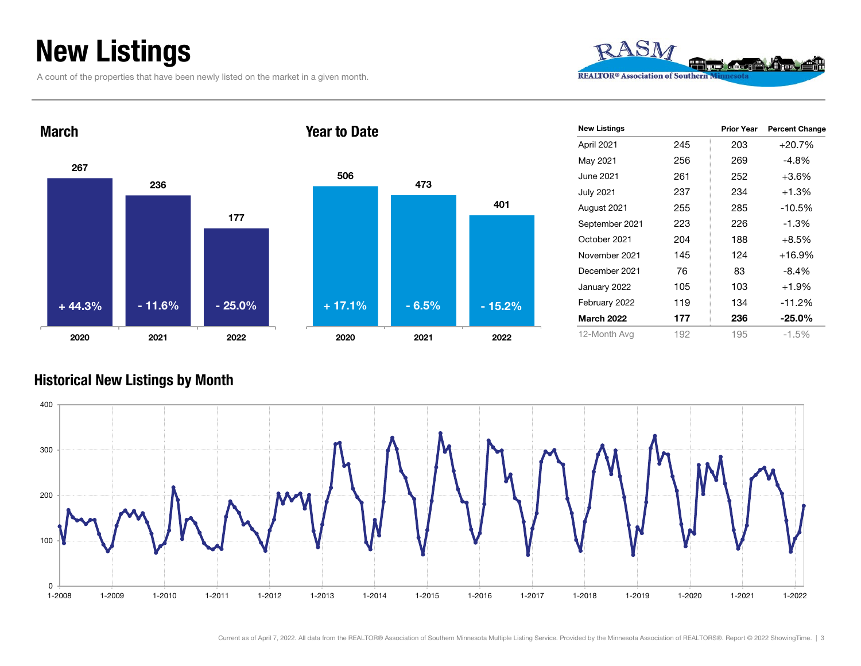### New Listings

A count of the properties that have been newly listed on the market in a given month.





#### Year to Date



| <b>New Listings</b> |     | <b>Prior Year</b> | <b>Percent Change</b> |
|---------------------|-----|-------------------|-----------------------|
| April 2021          | 245 | 203               | $+20.7%$              |
| May 2021            | 256 | 269               | $-4.8%$               |
| June 2021           | 261 | 252               | $+3.6%$               |
| July 2021           | 237 | 234               | $+1.3%$               |
| August 2021         | 255 | 285               | $-10.5%$              |
| September 2021      | 223 | 226               | $-1.3%$               |
| October 2021        | 204 | 188               | $+8.5%$               |
| November 2021       | 145 | 124               | $+16.9%$              |
| December 2021       | 76  | 83                | $-8.4%$               |
| January 2022        | 105 | 103               | $+1.9%$               |
| February 2022       | 119 | 134               | $-11.2%$              |
| March 2022          | 177 | 236               | $-25.0%$              |
| 12-Month Avg        | 192 | 195               | -1.5%                 |

#### Historical New Listings by Month

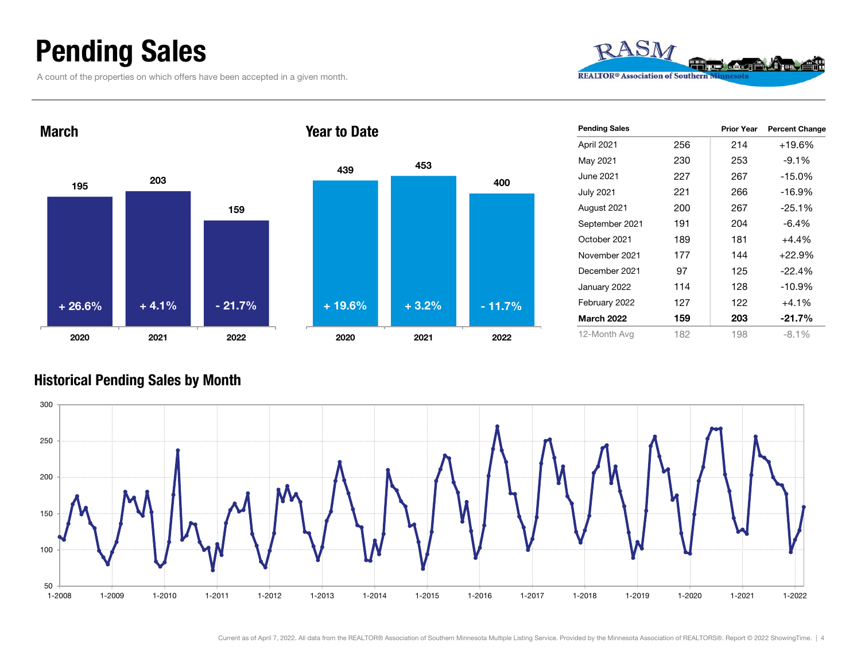### Pending Sales

A count of the properties on which offers have been accepted in a given month.





| 439      | 453     |          |  |
|----------|---------|----------|--|
|          |         | 400      |  |
|          |         |          |  |
|          |         |          |  |
|          |         |          |  |
|          |         |          |  |
|          |         |          |  |
| $+19.6%$ | $+3.2%$ | $-11.7%$ |  |
| 2020     | 2021    | 2022     |  |

| <b>Pending Sales</b> |     | <b>Prior Year</b> | <b>Percent Change</b> |
|----------------------|-----|-------------------|-----------------------|
| April 2021           | 256 | 214               | $+19.6%$              |
| May 2021             | 230 | 253               | $-9.1\%$              |
| June 2021            | 227 | 267               | $-15.0%$              |
| July 2021            | 221 | 266               | $-16.9%$              |
| August 2021          | 200 | 267               | $-25.1%$              |
| September 2021       | 191 | 204               | $-6.4\%$              |
| October 2021         | 189 | 181               | $+4.4%$               |
| November 2021        | 177 | 144               | $+22.9%$              |
| December 2021        | 97  | 125               | $-22.4%$              |
| January 2022         | 114 | 128               | $-10.9\%$             |
| February 2022        | 127 | 122               | $+4.1%$               |
| <b>March 2022</b>    | 159 | 203               | $-21.7%$              |
| 12-Month Avg         | 182 | 198               | $-8.1\%$              |

#### Historical Pending Sales by Month

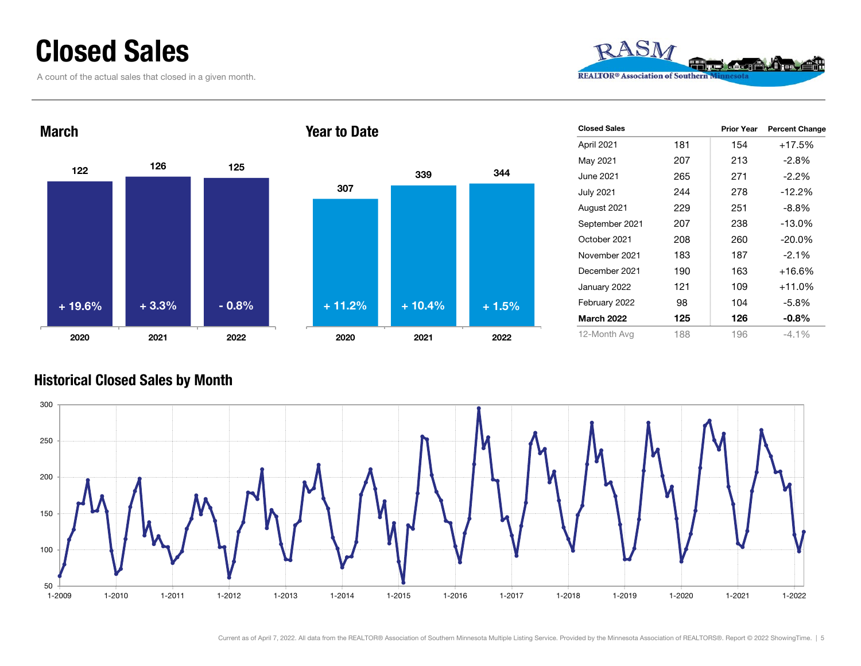### Closed Sales

A count of the actual sales that closed in a given month.







| <b>Closed Sales</b> |     | <b>Prior Year</b> | <b>Percent Change</b> |
|---------------------|-----|-------------------|-----------------------|
| April 2021          | 181 | 154               | $+17.5%$              |
| May 2021            | 207 | 213               | $-2.8%$               |
| June 2021           | 265 | 271               | $-2.2%$               |
| <b>July 2021</b>    | 244 | 278               | $-12.2%$              |
| August 2021         | 229 | 251               | $-8.8\%$              |
| September 2021      | 207 | 238               | $-13.0%$              |
| October 2021        | 208 | 260               | $-20.0\%$             |
| November 2021       | 183 | 187               | $-2.1%$               |
| December 2021       | 190 | 163               | $+16.6%$              |
| January 2022        | 121 | 109               | $+11.0%$              |
| February 2022       | 98  | 104               | -5.8%                 |
| <b>March 2022</b>   | 125 | 126               | $-0.8%$               |
| 12-Month Avg        | 188 | 196               | $-4.1\%$              |

#### Historical Closed Sales by Month



Current as of April 7, 2022. All data from the REALTOR® Association of Southern Minnesota Multiple Listing Service. Provided by the Minnesota Association of REALTORS®. Report © 2022 ShowingTime. | 5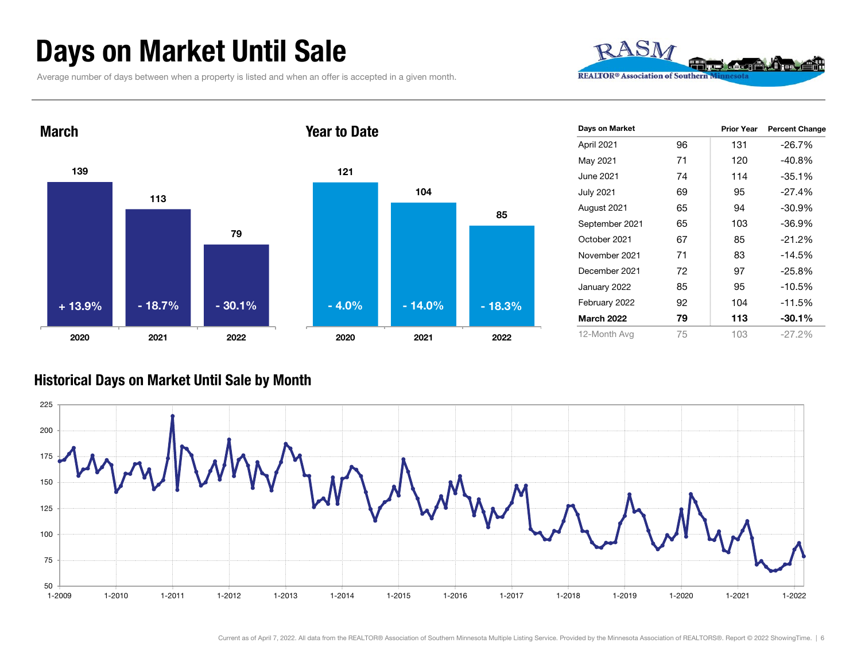### Days on Market Until Sale

Average number of days between when a property is listed and when an offer is accepted in a given month.





| Days on Market    |    | <b>Prior Year</b> | <b>Percent Change</b> |
|-------------------|----|-------------------|-----------------------|
| April 2021        | 96 | 131               | $-26.7%$              |
| May 2021          | 71 | 120               | $-40.8%$              |
| June 2021         | 74 | 114               | $-35.1%$              |
| <b>July 2021</b>  | 69 | 95                | $-27.4%$              |
| August 2021       | 65 | 94                | $-30.9%$              |
| September 2021    | 65 | 103               | $-36.9%$              |
| October 2021      | 67 | 85                | $-21.2%$              |
| November 2021     | 71 | 83                | $-14.5%$              |
| December 2021     | 72 | 97                | $-25.8%$              |
| January 2022      | 85 | 95                | $-10.5%$              |
| February 2022     | 92 | 104               | $-11.5%$              |
| <b>March 2022</b> | 79 | 113               | $-30.1\%$             |
| 12-Month Avg      | 75 | 103               | $-27.2%$              |

#### Historical Days on Market Until Sale by Month

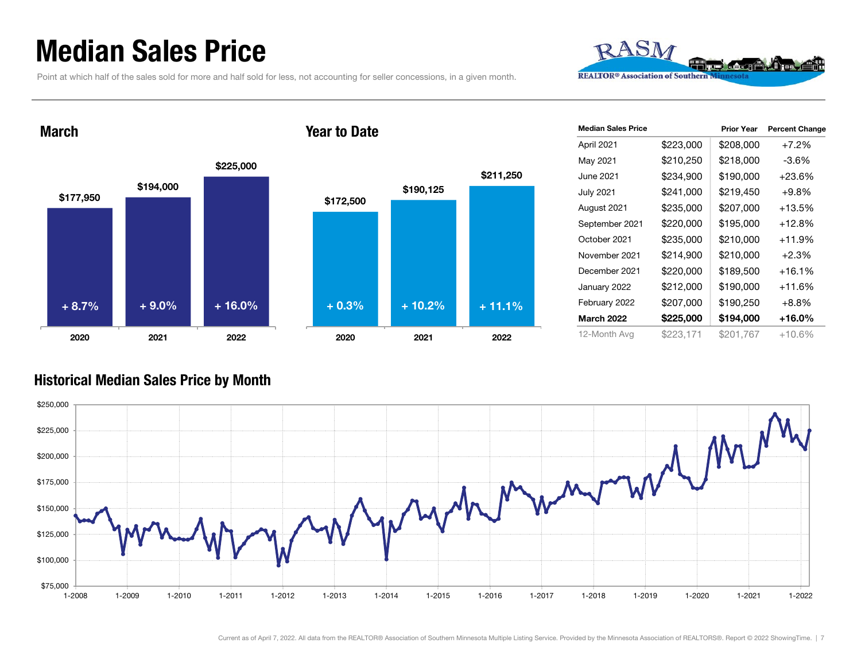### Median Sales Price

Point at which half of the sales sold for more and half sold for less, not accounting for seller concessions, in a given month.



March





| <b>Median Sales Price</b> |           | <b>Prior Year</b> | <b>Percent Change</b> |
|---------------------------|-----------|-------------------|-----------------------|
| April 2021                | \$223,000 | \$208,000         | $+7.2%$               |
| May 2021                  | \$210,250 | \$218,000         | -3.6%                 |
| June 2021                 | \$234,900 | \$190,000         | $+23.6\%$             |
| <b>July 2021</b>          | \$241,000 | \$219,450         | $+9.8%$               |
| August 2021               | \$235,000 | \$207,000         | $+13.5%$              |
| September 2021            | \$220,000 | \$195,000         | $+12.8%$              |
| October 2021              | \$235,000 | \$210,000         | $+11.9%$              |
| November 2021             | \$214,900 | \$210,000         | $+2.3%$               |
| December 2021             | \$220,000 | \$189,500         | +16.1%                |
| January 2022              | \$212,000 | \$190,000         | +11.6%                |
| February 2022             | \$207,000 | \$190,250         | $+8.8%$               |
| <b>March 2022</b>         | \$225,000 | \$194,000         | $+16.0\%$             |
| 12-Month Avg              | \$223,171 | \$201,767         | +10.6%                |

#### Historical Median Sales Price by Month

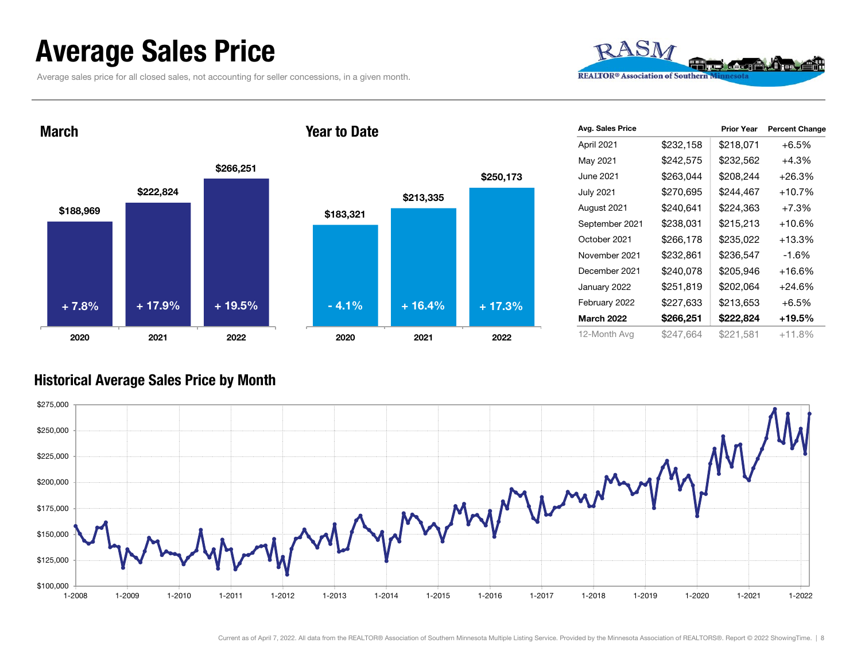### Average Sales Price

Average sales price for all closed sales, not accounting for seller concessions, in a given month.



March





| Avg. Sales Price  |           | <b>Prior Year</b> | <b>Percent Change</b> |
|-------------------|-----------|-------------------|-----------------------|
| April 2021        | \$232,158 | \$218,071         | $+6.5%$               |
| May 2021          | \$242,575 | \$232,562         | +4.3%                 |
| June 2021         | \$263,044 | \$208,244         | $+26.3%$              |
| <b>July 2021</b>  | \$270,695 | \$244,467         | $+10.7%$              |
| August 2021       | \$240,641 | \$224,363         | $+7.3%$               |
| September 2021    | \$238,031 | \$215,213         | $+10.6\%$             |
| October 2021      | \$266,178 | \$235,022         | $+13.3%$              |
| November 2021     | \$232,861 | \$236,547         | -1.6%                 |
| December 2021     | \$240,078 | \$205,946         | $+16.6%$              |
| January 2022      | \$251,819 | \$202,064         | $+24.6%$              |
| February 2022     | \$227,633 | \$213,653         | $+6.5%$               |
| <b>March 2022</b> | \$266,251 | \$222,824         | +19.5%                |
| 12-Month Avg      | \$247,664 | \$221,581         | $+11.8%$              |

#### Historical Average Sales Price by Month

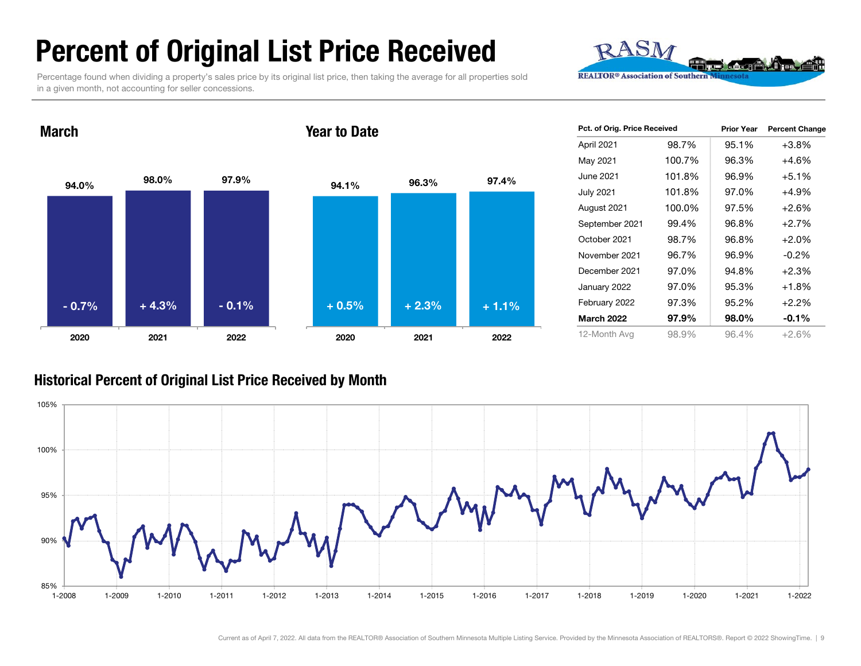### Percent of Original List Price Received

Percentage found when dividing a property's sales price by its original list price, then taking the average for all properties sold in a given month, not accounting for seller concessions.



94.0% $\%$  98.0% 97.9% 2020 2021 2022 94.1% 96.3% 97.4% 2020 2021 2022 Year to Date- 0.7% $\%$  + 4.3% - 0.1% + 0.5% + 2.3% + 1.1%

| Pct. of Orig. Price Received |        | <b>Prior Year</b> | <b>Percent Change</b> |  |
|------------------------------|--------|-------------------|-----------------------|--|
| April 2021                   | 98.7%  | 95.1%             | $+3.8%$               |  |
| May 2021                     | 100.7% | 96.3%             | $+4.6%$               |  |
| June 2021                    | 101.8% | 96.9%             | $+5.1%$               |  |
| <b>July 2021</b>             | 101.8% | 97.0%             | +4.9%                 |  |
| August 2021                  | 100.0% | 97.5%             | $+2.6%$               |  |
| September 2021               | 99.4%  | 96.8%             | $+2.7%$               |  |
| October 2021                 | 98.7%  | 96.8%             | $+2.0%$               |  |
| November 2021                | 96.7%  | 96.9%             | $-0.2%$               |  |
| December 2021                | 97.0%  | 94.8%             | $+2.3%$               |  |
| January 2022                 | 97.0%  | 95.3%             | $+1.8%$               |  |
| February 2022                | 97.3%  | 95.2%             | $+2.2%$               |  |
| <b>March 2022</b>            | 97.9%  | 98.0%             | $-0.1%$               |  |
| 12-Month Avg                 | 98.9%  | 96.4%             | +2.6%                 |  |

#### Historical Percent of Original List Price Received by Month



March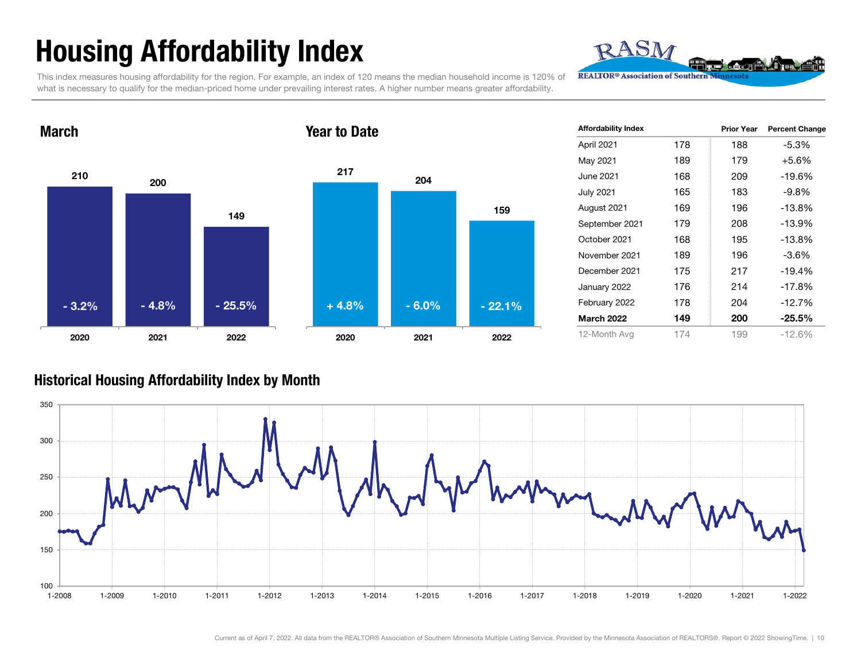## Housing Affordability Index

RASM **REALTOR® Association of Southern** 

This index measures housing affordability for the region. For example, an index of 120 means the median household income is 120% of what is necessary to qualify for the median-priced home under prevailing interest rates. A higher number means greater affordability.



| <b>Affordability Index</b> |     | <b>Prior Year</b> | <b>Percent Change</b> |
|----------------------------|-----|-------------------|-----------------------|
| April 2021                 | 178 | 188               | $-5.3%$               |
| May 2021                   | 189 | 179               | $+5.6%$               |
| June 2021                  | 168 | 209               | $-19.6%$              |
| <b>July 2021</b>           | 165 | 183               | $-9.8%$               |
| August 2021                | 169 | 196               | $-13.8%$              |
| September 2021             | 179 | 208               | $-13.9%$              |
| October 2021               | 168 | 195               | $-13.8%$              |
| November 2021              | 189 | 196               | $-3.6\%$              |
| December 2021              | 175 | 217               | $-19.4%$              |
| January 2022               | 176 | 214               | $-17.8%$              |
| February 2022              | 178 | 204               | $-12.7%$              |
| <b>March 2022</b>          | 149 | 200               | $-25.5%$              |
| 12-Month Avg               | 174 | 199               | $-12.6\%$             |

#### Historical Housing Affordability Index by Mont h

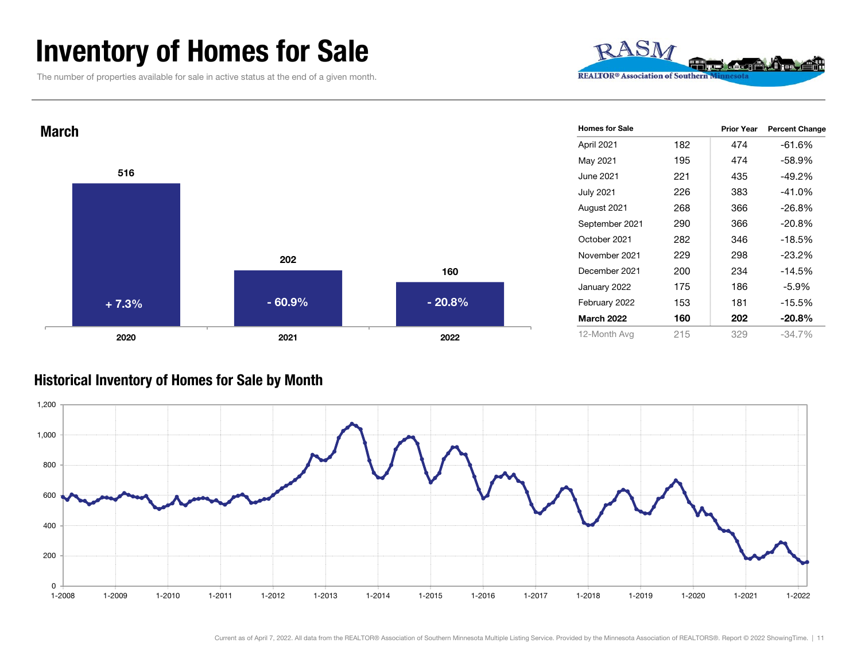### Inventory of Homes for Sale

The number of properties available for sale in active status at the end of a given month.





#### Historical Inventory of Homes for Sale by Month

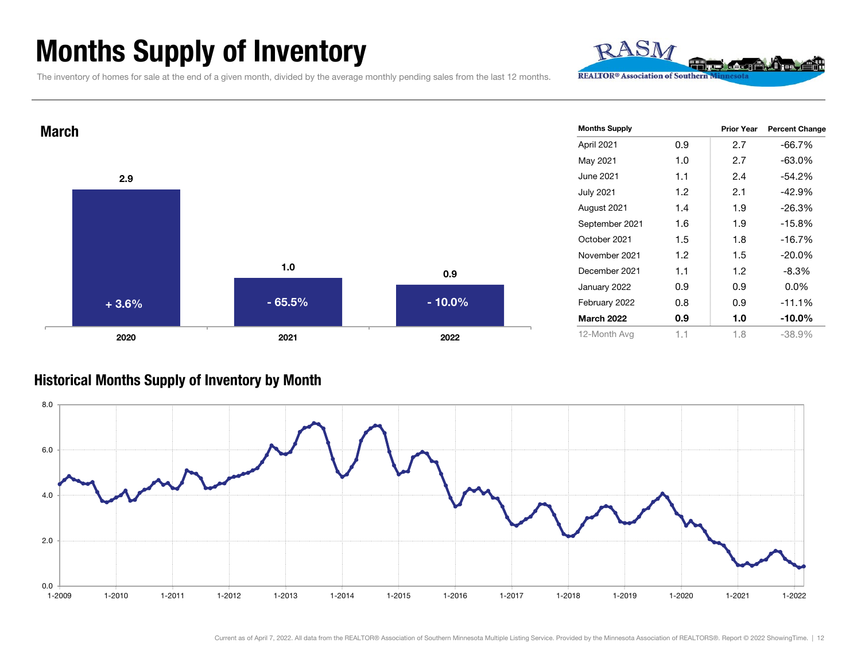### Months Supply of Inventory

The inventory of homes for sale at the end of a given month, divided by the average monthly pending sales from the last 12 months.

1.0

2021 2022

0.9

 $-65.5\%$  - 10.0%

Prior Year Percent Change April 2021 0.9 2.7 -66.7% May 2021 1.0 2.7 -63.0% June 2021 1.1 2.4 -54.2%July 2021 1.2 2.1 -42.9% August 2021 1.4 1.9 -26.3% September 2021 1.6 1.9 -15.8% October 2021 1.5 1.8 -16.7%November 2021 1.2 1.5 -20.0%December 2021 1.1 1.2 -8.3%January 2022 0.9 0.9 0.0% February 2022 0.8 0.9 -11.1% March 2022 0.9 1.0 -10.0%12-Month Avg 1.1 1.8 -38.9% Months Supply

#### Historical Months Supply of Inventory by Month





**March** 

2.9

2020

+ 3.6%